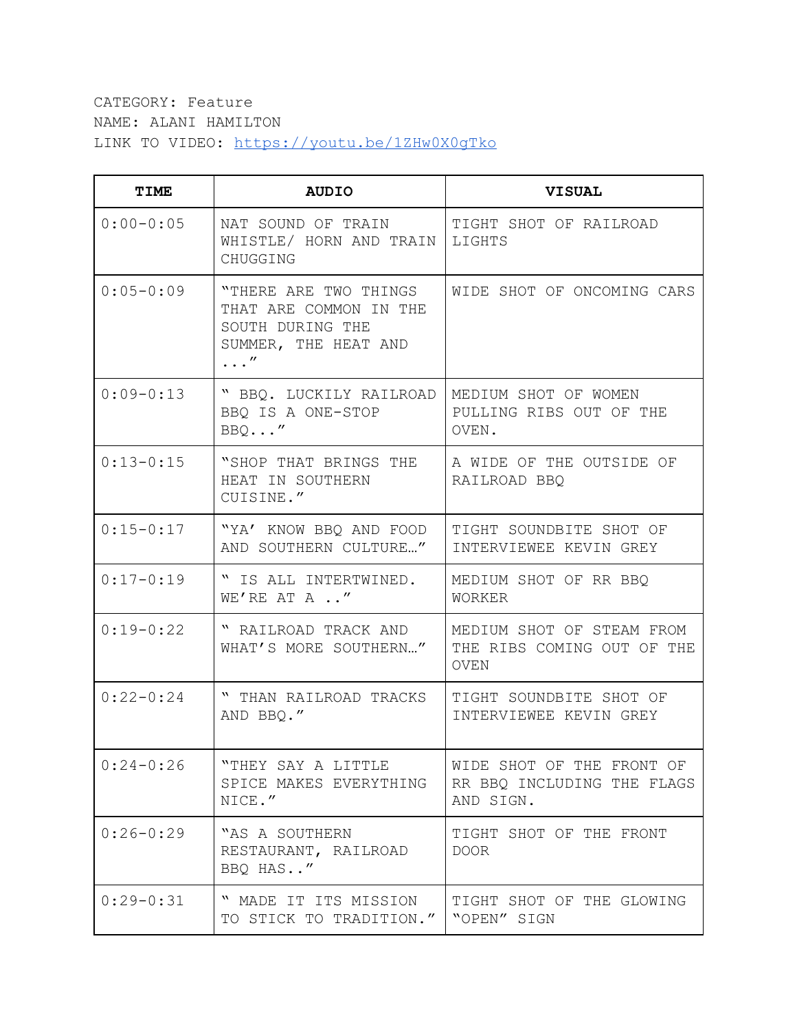## CATEGORY: Feature NAME: ALANI HAMILTON LINK TO VIDEO: <https://youtu.be/1ZHw0X0gTko>

| TIME          | <b>AUDIO</b>                                                                                              | <b>VISUAL</b>                                                          |
|---------------|-----------------------------------------------------------------------------------------------------------|------------------------------------------------------------------------|
| $0:00 - 0:05$ | NAT SOUND OF TRAIN<br>WHISTLE/ HORN AND TRAIN<br>CHUGGING                                                 | TIGHT SHOT OF RAILROAD<br>LIGHTS                                       |
| $0:05 - 0:09$ | "THERE ARE TWO THINGS<br>THAT ARE COMMON IN THE<br>SOUTH DURING THE<br>SUMMER, THE HEAT AND<br>$\ldots''$ | WIDE SHOT OF ONCOMING CARS                                             |
| $0:09-0:13$   | " BBQ. LUCKILY RAILROAD<br>BBQ IS A ONE-STOP<br>BBQ''                                                     | MEDIUM SHOT OF WOMEN<br>PULLING RIBS OUT OF THE<br>OVEN.               |
| $0:13-0:15$   | "SHOP THAT BRINGS THE<br>HEAT IN SOUTHERN<br>CUISINE."                                                    | A WIDE OF THE OUTSIDE OF<br>RAILROAD BBQ                               |
| $0:15 - 0:17$ | "YA' KNOW BBQ AND FOOD<br>AND SOUTHERN CULTURE"                                                           | TIGHT SOUNDBITE SHOT OF<br>INTERVIEWEE KEVIN GREY                      |
| $0:17 - 0:19$ | " IS ALL INTERTWINED.<br>WE'RE AT A "                                                                     | MEDIUM SHOT OF RR BBQ<br>WORKER                                        |
| $0:19-0:22$   | " RAILROAD TRACK AND<br>WHAT'S MORE SOUTHERN"                                                             | MEDIUM SHOT OF STEAM FROM<br>THE RIBS COMING OUT OF THE<br><b>OVEN</b> |
| $0:22 - 0:24$ | " THAN RAILROAD TRACKS<br>AND BBQ."                                                                       | TIGHT SOUNDBITE SHOT OF<br>INTERVIEWEE KEVIN GREY                      |
| $0:24-0:26$   | "THEY SAY A LITTLE<br>SPICE MAKES EVERYTHING<br>NICE."                                                    | WIDE SHOT OF THE FRONT OF<br>RR BBQ INCLUDING THE FLAGS<br>AND SIGN.   |
| $0:26-0:29$   | "AS A SOUTHERN<br>RESTAURANT, RAILROAD<br>BBQ HAS"                                                        | TIGHT SHOT OF THE FRONT<br>DOOR                                        |
| $0:29-0:31$   | " MADE IT ITS MISSION<br>TO STICK TO TRADITION."                                                          | TIGHT SHOT OF THE GLOWING<br>"OPEN" SIGN                               |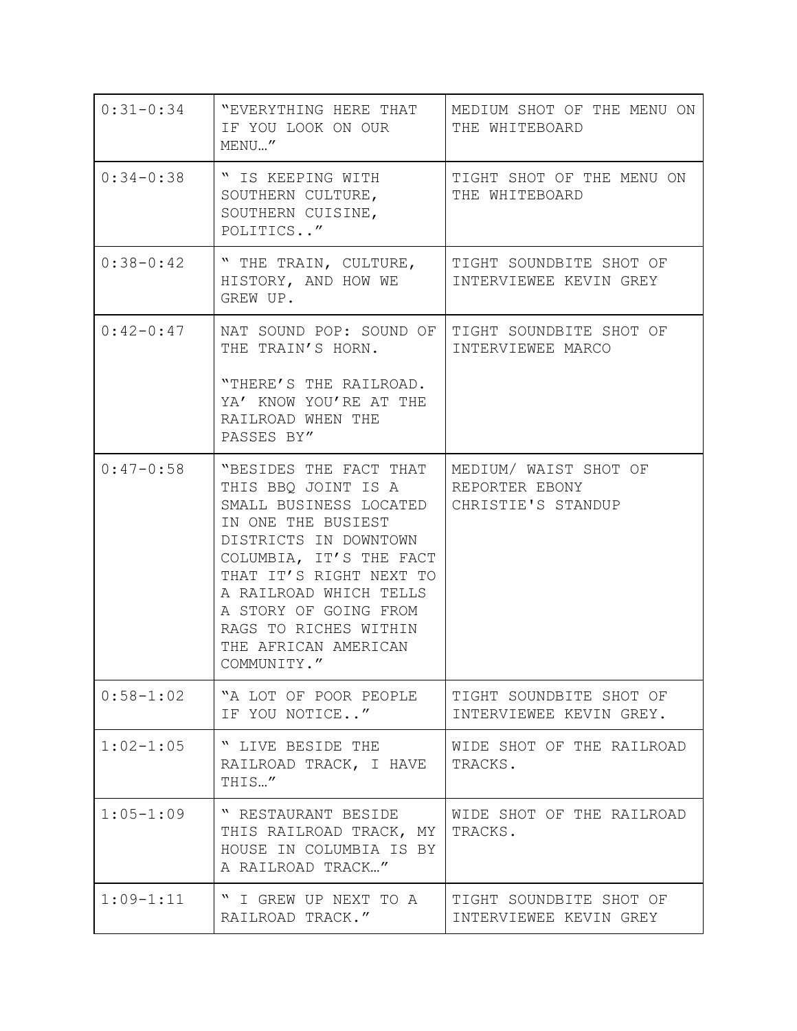| $0:31 - 0:34$ | "EVERYTHING HERE THAT<br>IF YOU LOOK ON OUR<br>MENU"                                                                                                                                                                                                                                            | MEDIUM SHOT OF THE MENU ON<br>THE WHITEBOARD                  |
|---------------|-------------------------------------------------------------------------------------------------------------------------------------------------------------------------------------------------------------------------------------------------------------------------------------------------|---------------------------------------------------------------|
| $0:34-0:38$   | " IS KEEPING WITH<br>SOUTHERN CULTURE,<br>SOUTHERN CUISINE,<br>POLITICS"                                                                                                                                                                                                                        | TIGHT SHOT OF THE MENU ON<br>THE WHITEBOARD                   |
| $0:38 - 0:42$ | " THE TRAIN, CULTURE,<br>HISTORY, AND HOW WE<br>GREW UP.                                                                                                                                                                                                                                        | TIGHT SOUNDBITE SHOT OF<br>INTERVIEWEE KEVIN GREY             |
| $0:42-0:47$   | NAT SOUND POP: SOUND OF<br>THE TRAIN'S HORN.<br>"THERE'S THE RAILROAD.<br>YA' KNOW YOU'RE AT THE<br>RAILROAD WHEN THE<br>PASSES BY"                                                                                                                                                             | TIGHT SOUNDBITE SHOT OF<br>INTERVIEWEE MARCO                  |
| $0:47-0:58$   | "BESIDES THE FACT THAT<br>THIS BBO JOINT IS A<br>SMALL BUSINESS LOCATED<br>IN ONE THE BUSIEST<br>DISTRICTS IN DOWNTOWN<br>COLUMBIA, IT'S THE FACT<br>THAT IT'S RIGHT NEXT TO<br>A RAILROAD WHICH TELLS<br>A STORY OF GOING FROM<br>RAGS TO RICHES WITHIN<br>THE AFRICAN AMERICAN<br>COMMUNITY." | MEDIUM/ WAIST SHOT OF<br>REPORTER EBONY<br>CHRISTIE'S STANDUP |
| $0:58 - 1:02$ | "A LOT OF POOR PEOPLE<br>IF YOU NOTICE"                                                                                                                                                                                                                                                         | TIGHT SOUNDBITE SHOT OF<br>INTERVIEWEE KEVIN GREY.            |
| $1:02 - 1:05$ | " LIVE BESIDE THE<br>RAILROAD TRACK, I HAVE<br>THIS"                                                                                                                                                                                                                                            | WIDE SHOT OF THE RAILROAD<br>TRACKS.                          |
| $1:05 - 1:09$ | " RESTAURANT BESIDE<br>THIS RAILROAD TRACK, MY<br>HOUSE IN COLUMBIA IS BY<br>A RAILROAD TRACK"                                                                                                                                                                                                  | WIDE SHOT OF THE RAILROAD<br>TRACKS.                          |
| $1:09-1:11$   | " I GREW UP NEXT TO A<br>RAILROAD TRACK."                                                                                                                                                                                                                                                       | TIGHT SOUNDBITE SHOT OF<br>INTERVIEWEE KEVIN GREY             |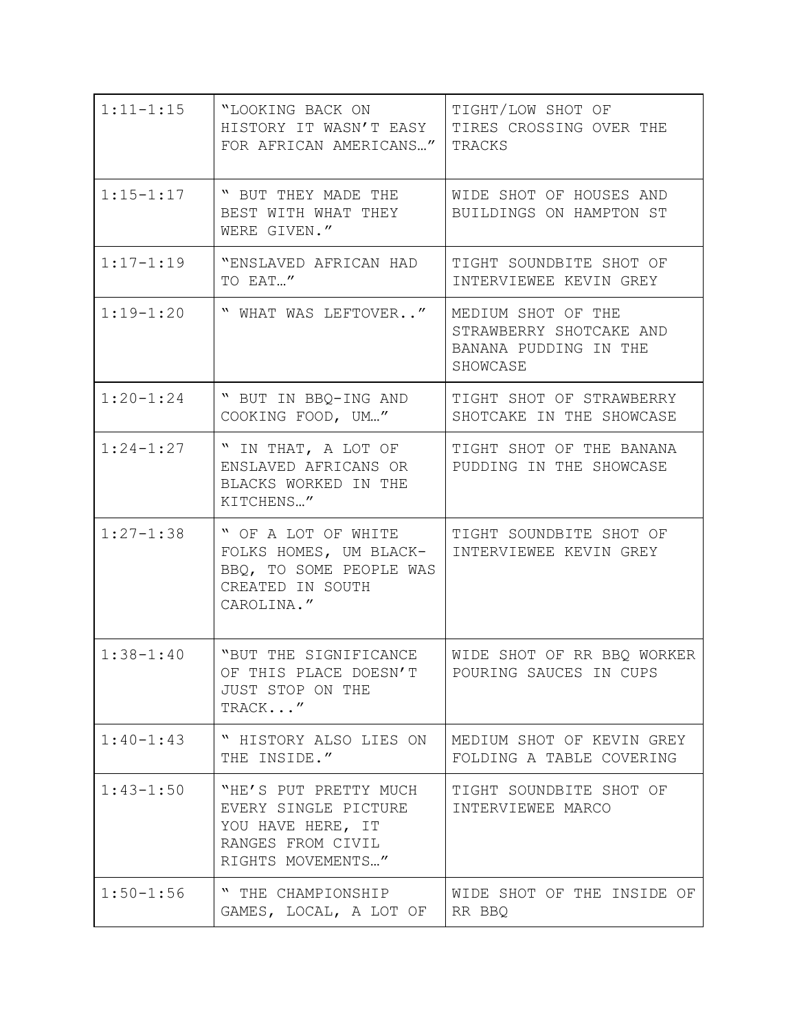| $1:11 - 1:15$ | "LOOKING BACK ON<br>HISTORY IT WASN'T EASY<br>FOR AFRICAN AMERICANS"                                         | TIGHT/LOW SHOT OF<br>TIRES CROSSING OVER THE<br>TRACKS                             |
|---------------|--------------------------------------------------------------------------------------------------------------|------------------------------------------------------------------------------------|
| $1:15 - 1:17$ | " BUT THEY MADE THE<br>BEST WITH WHAT THEY<br>WERE GIVEN."                                                   | WIDE SHOT OF HOUSES AND<br>BUILDINGS ON HAMPTON ST                                 |
| $1:17-1:19$   | "ENSLAVED AFRICAN HAD<br>TO EAT"                                                                             | TIGHT SOUNDBITE SHOT OF<br>INTERVIEWEE KEVIN GREY                                  |
| $1:19-1:20$   | " WHAT WAS LEFTOVER"                                                                                         | MEDIUM SHOT OF THE<br>STRAWBERRY SHOTCAKE AND<br>BANANA PUDDING IN THE<br>SHOWCASE |
| $1:20 - 1:24$ | " BUT IN BBQ-ING AND<br>COOKING FOOD, UM"                                                                    | TIGHT SHOT OF STRAWBERRY<br>SHOTCAKE IN THE SHOWCASE                               |
| $1:24 - 1:27$ | " IN THAT, A LOT OF<br>ENSLAVED AFRICANS OR<br>BLACKS WORKED IN THE<br>KITCHENS"                             | TIGHT SHOT OF THE BANANA<br>PUDDING IN THE SHOWCASE                                |
| $1:27 - 1:38$ | " OF A LOT OF WHITE<br>FOLKS HOMES, UM BLACK-<br>BBQ, TO SOME PEOPLE WAS<br>CREATED IN SOUTH<br>CAROLINA."   | TIGHT SOUNDBITE SHOT OF<br>INTERVIEWEE KEVIN GREY                                  |
| $1:38 - 1:40$ | "BUT THE SIGNIFICANCE<br>OF THIS PLACE DOESN'T<br>JUST STOP ON THE<br>TRACK"                                 | WIDE SHOT OF RR BBQ WORKER<br>POURING SAUCES IN CUPS                               |
| $1:40 - 1:43$ | " HISTORY ALSO LIES ON<br>THE INSIDE."                                                                       | MEDIUM SHOT OF KEVIN GREY<br>FOLDING A TABLE COVERING                              |
| $1:43 - 1:50$ | "HE'S PUT PRETTY MUCH<br>EVERY SINGLE PICTURE<br>YOU HAVE HERE, IT<br>RANGES FROM CIVIL<br>RIGHTS MOVEMENTS" | TIGHT SOUNDBITE SHOT OF<br>INTERVIEWEE MARCO                                       |
| $1:50 - 1:56$ | " THE CHAMPIONSHIP<br>GAMES, LOCAL, A LOT OF                                                                 | WIDE SHOT OF THE INSIDE OF<br>RR BBQ                                               |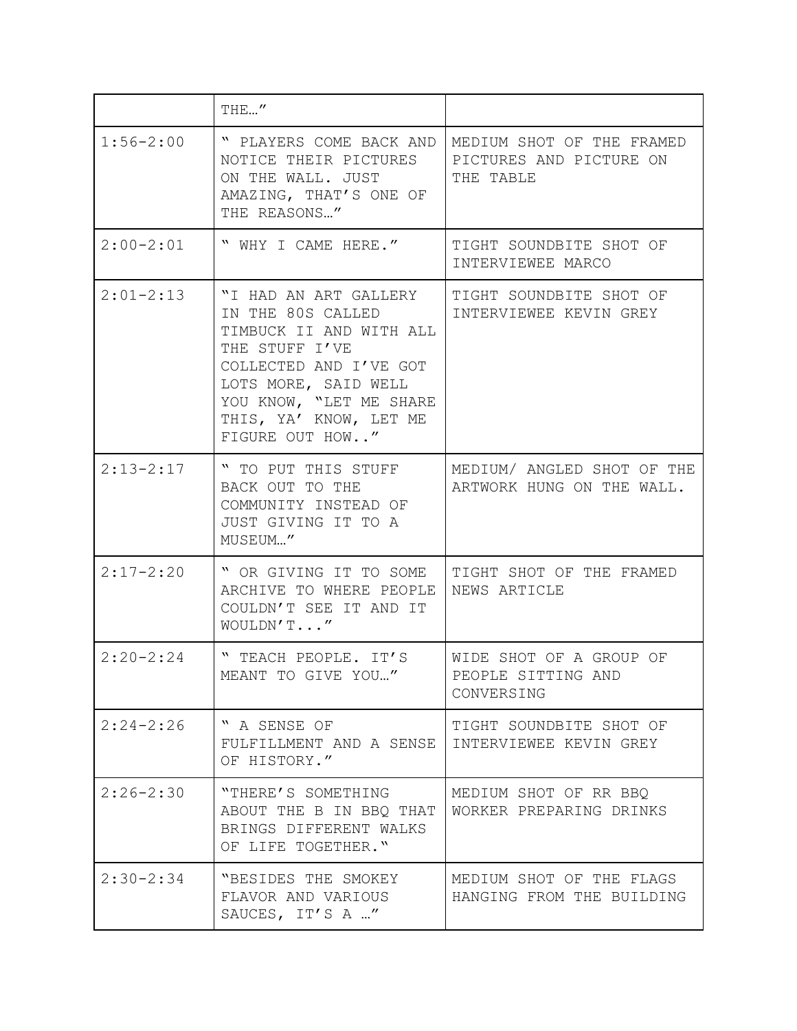|               | THE''                                                                                                                                                                                                             |                                                                   |
|---------------|-------------------------------------------------------------------------------------------------------------------------------------------------------------------------------------------------------------------|-------------------------------------------------------------------|
| $1:56 - 2:00$ | " PLAYERS COME BACK AND<br>NOTICE THEIR PICTURES<br>ON THE WALL. JUST<br>AMAZING, THAT'S ONE OF<br>THE REASONS"                                                                                                   | MEDIUM SHOT OF THE FRAMED<br>PICTURES AND PICTURE ON<br>THE TABLE |
| $2:00-2:01$   | " WHY I CAME HERE."                                                                                                                                                                                               | TIGHT SOUNDBITE SHOT OF<br>INTERVIEWEE MARCO                      |
| $2:01-2:13$   | "I HAD AN ART GALLERY<br>IN THE 80S CALLED<br>TIMBUCK II AND WITH ALL<br>THE STUFF I'VE<br>COLLECTED AND I'VE GOT<br>LOTS MORE, SAID WELL<br>YOU KNOW, "LET ME SHARE<br>THIS, YA' KNOW, LET ME<br>FIGURE OUT HOW" | TIGHT SOUNDBITE SHOT OF<br>INTERVIEWEE KEVIN GREY                 |
| $2:13-2:17$   | " TO PUT THIS STUFF<br>BACK OUT TO THE<br>COMMUNITY INSTEAD OF<br>JUST GIVING IT TO A<br>MUSEUM"                                                                                                                  | MEDIUM/ ANGLED SHOT OF THE<br>ARTWORK HUNG ON THE WALL.           |
| $2:17 - 2:20$ | " OR GIVING IT TO SOME<br>ARCHIVE TO WHERE PEOPLE<br>COULDN'T SEE IT AND IT<br>WOULDN'T"                                                                                                                          | TIGHT SHOT OF THE FRAMED<br>NEWS ARTICLE                          |
| $2:20-2:24$   | " TEACH PEOPLE. IT'S<br>MEANT TO GIVE YOU "                                                                                                                                                                       | WIDE SHOT OF A GROUP OF<br>PEOPLE SITTING AND<br>CONVERSING       |
| $2:24 - 2:26$ | " A SENSE OF<br>FULFILLMENT AND A SENSE<br>OF HISTORY."                                                                                                                                                           | TIGHT SOUNDBITE SHOT OF<br>INTERVIEWEE KEVIN GREY                 |
| $2:26 - 2:30$ | "THERE'S SOMETHING<br>ABOUT THE B IN BBQ THAT<br>BRINGS DIFFERENT WALKS<br>OF LIFE TOGETHER."                                                                                                                     | MEDIUM SHOT OF RR BBQ<br>WORKER PREPARING DRINKS                  |
| $2:30-2:34$   | "BESIDES THE SMOKEY<br>FLAVOR AND VARIOUS<br>SAUCES, IT'S A "                                                                                                                                                     | MEDIUM SHOT OF THE FLAGS<br>HANGING FROM THE BUILDING             |